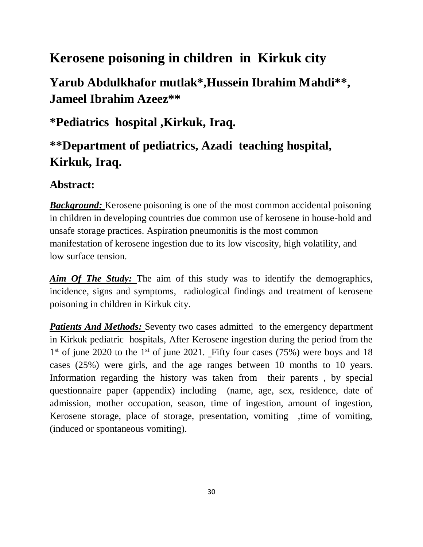# **Kerosene poisoning in children in Kirkuk city**

# **Yarub Abdulkhafor mutlak\*,Hussein Ibrahim Mahdi\*\*, Jameel Ibrahim Azeez\*\***

**\*Pediatrics hospital ,Kirkuk, Iraq.**

# **\*\*Department of pediatrics, Azadi teaching hospital, Kirkuk, Iraq.**

## **Abstract:**

*Background:* Kerosene poisoning is one of the most common accidental poisoning in children in developing countries due common use of kerosene in house-hold and unsafe storage practices. Aspiration pneumonitis is the most common manifestation of kerosene ingestion due to its low viscosity, high volatility, and low surface tension.

*Aim Of The Study:* The aim of this study was to identify the demographics, incidence, signs and symptoms, radiological findings and treatment of kerosene poisoning in children in Kirkuk city.

*Patients And Methods:* Seventy two cases admitted to the emergency department in Kirkuk pediatric hospitals, After Kerosene ingestion during the period from the  $1<sup>st</sup>$  of june 2020 to the  $1<sup>st</sup>$  of june 2021. Fifty four cases (75%) were boys and 18 cases (25%) were girls, and the age ranges between 10 months to 10 years. Information regarding the history was taken from their parents , by special questionnaire paper (appendix) including (name, age, sex, residence, date of admission, mother occupation, season, time of ingestion, amount of ingestion, Kerosene storage, place of storage, presentation, vomiting ,time of vomiting, (induced or spontaneous vomiting).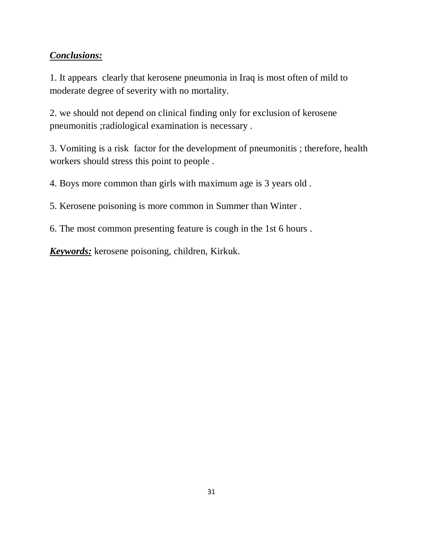## *Conclusions:*

1. It appears clearly that kerosene pneumonia in Iraq is most often of mild to moderate degree of severity with no mortality.

2. we should not depend on clinical finding only for exclusion of kerosene pneumonitis ;radiological examination is necessary .

3. Vomiting is a risk factor for the development of pneumonitis ; therefore, health workers should stress this point to people .

4. Boys more common than girls with maximum age is 3 years old .

5. Kerosene poisoning is more common in Summer than Winter .

6. The most common presenting feature is cough in the 1st 6 hours .

*Keywords:* kerosene poisoning, children, Kirkuk.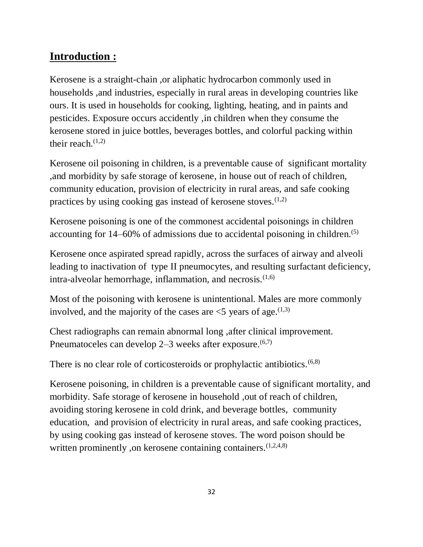# **Introduction :**

Kerosene is a straight-chain ,or aliphatic hydrocarbon commonly used in households ,and industries, especially in rural areas in developing countries like ours. It is used in households for cooking, lighting, heating, and in paints and pesticides. Exposure occurs accidently ,in children when they consume the kerosene stored in juice bottles, beverages bottles, and colorful packing within their reach. $(1,2)$ 

Kerosene oil poisoning in children, is a preventable cause of significant mortality ,and morbidity by safe storage of kerosene, in house out of reach of children, community education, provision of electricity in rural areas, and safe cooking practices by using cooking gas instead of kerosene stoves.  $(1,2)$ 

Kerosene poisoning is one of the commonest accidental poisonings in children accounting for  $14-60\%$  of admissions due to accidental poisoning in children.<sup>(5)</sup>

Kerosene once aspirated spread rapidly, across the surfaces of airway and alveoli leading to inactivation of type II pneumocytes, and resulting surfactant deficiency, intra-alveolar hemorrhage, inflammation, and necrosis. $(1,6)$ 

Most of the poisoning with kerosene is unintentional. Males are more commonly involved, and the majority of the cases are  $\leq$  years of age.<sup>(1,3)</sup>

Chest radiographs can remain abnormal long ,after clinical improvement. Pneumatoceles can develop  $2-3$  weeks after exposure.<sup> $(6,7)$ </sup>

There is no clear role of corticosteroids or prophylactic antibiotics.<sup>(6,8)</sup>

Kerosene poisoning, in children is a preventable cause of significant mortality, and morbidity. Safe storage of kerosene in household ,out of reach of children, avoiding storing kerosene in cold drink, and beverage bottles, community education, and provision of electricity in rural areas, and safe cooking practices, by using cooking gas instead of kerosene stoves. The word poison should be written prominently ,on kerosene containing containers.<sup>(1,2,4,8)</sup>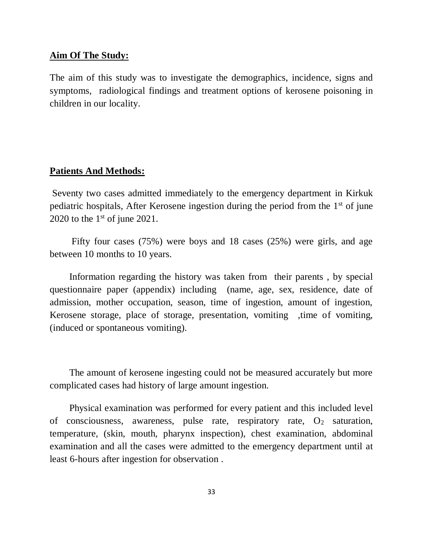#### **Aim Of The Study:**

The aim of this study was to investigate the demographics, incidence, signs and symptoms, radiological findings and treatment options of kerosene poisoning in children in our locality.

#### **Patients And Methods:**

Seventy two cases admitted immediately to the emergency department in Kirkuk pediatric hospitals, After Kerosene ingestion during the period from the 1st of june 2020 to the  $1<sup>st</sup>$  of june 2021.

 Fifty four cases (75%) were boys and 18 cases (25%) were girls, and age between 10 months to 10 years.

 Information regarding the history was taken from their parents , by special questionnaire paper (appendix) including (name, age, sex, residence, date of admission, mother occupation, season, time of ingestion, amount of ingestion, Kerosene storage, place of storage, presentation, vomiting , time of vomiting, (induced or spontaneous vomiting).

 The amount of kerosene ingesting could not be measured accurately but more complicated cases had history of large amount ingestion.

 Physical examination was performed for every patient and this included level of consciousness, awareness, pulse rate, respiratory rate,  $O_2$  saturation, temperature, (skin, mouth, pharynx inspection), chest examination, abdominal examination and all the cases were admitted to the emergency department until at least 6-hours after ingestion for observation .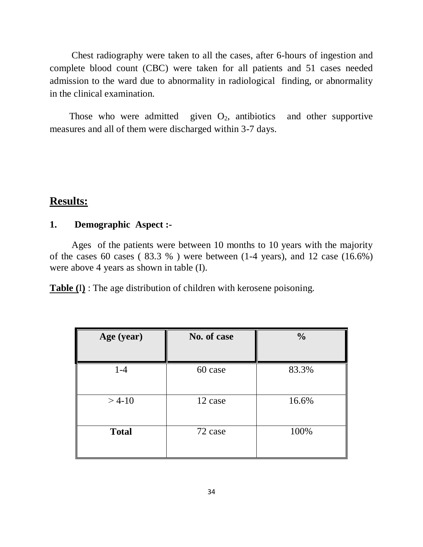Chest radiography were taken to all the cases, after 6-hours of ingestion and complete blood count (CBC) were taken for all patients and 51 cases needed admission to the ward due to abnormality in radiological finding, or abnormality in the clinical examination.

Those who were admitted given  $O_2$ , antibiotics and other supportive measures and all of them were discharged within 3-7 days.

### **Results:**

#### **1. Demographic Aspect :-**

 Ages of the patients were between 10 months to 10 years with the majority of the cases 60 cases ( $83.3 \%$ ) were between (1-4 years), and 12 case (16.6%) were above 4 years as shown in table (I).

**Table (**I**)** : The age distribution of children with kerosene poisoning.

| Age (year)   | No. of case | $\frac{0}{0}$ |
|--------------|-------------|---------------|
| $1-4$        | 60 case     | 83.3%         |
| $>4-10$      | 12 case     | 16.6%         |
| <b>Total</b> | 72 case     | 100%          |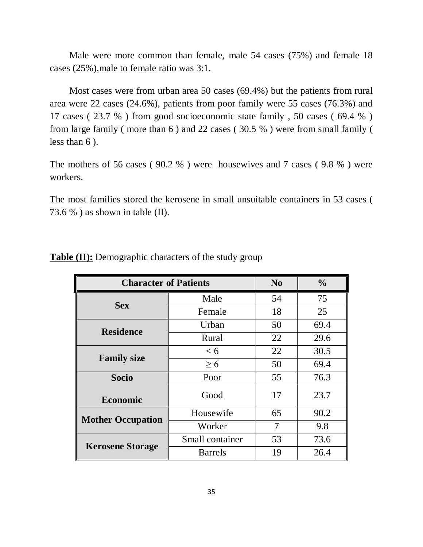Male were more common than female, male 54 cases (75%) and female 18 cases (25%),male to female ratio was 3:1.

 Most cases were from urban area 50 cases (69.4%) but the patients from rural area were 22 cases (24.6%), patients from poor family were 55 cases (76.3%) and 17 cases ( 23.7 % ) from good socioeconomic state family , 50 cases ( 69.4 % ) from large family ( more than 6 ) and 22 cases ( 30.5 % ) were from small family ( less than 6 ).

The mothers of 56 cases ( 90.2 % ) were housewives and 7 cases ( 9.8 % ) were workers.

The most families stored the kerosene in small unsuitable containers in 53 cases ( 73.6 % ) as shown in table (II).

| <b>Character of Patients</b> | No              | $\frac{0}{0}$ |      |
|------------------------------|-----------------|---------------|------|
| <b>Sex</b>                   | Male            | 54            | 75   |
|                              | Female          | 18            | 25   |
| <b>Residence</b>             | Urban           | 50            | 69.4 |
|                              | Rural           | 22            | 29.6 |
| <b>Family size</b>           | < 6             | 22            | 30.5 |
|                              | > 6             | 50            | 69.4 |
| <b>Socio</b>                 | Poor            | 55            | 76.3 |
| <b>Economic</b>              | Good            | 17            | 23.7 |
| <b>Mother Occupation</b>     | Housewife       | 65            | 90.2 |
|                              | Worker          | 7             | 9.8  |
| <b>Kerosene Storage</b>      | Small container | 53            | 73.6 |
|                              | <b>Barrels</b>  | 19            | 26.4 |

**Table (II):** Demographic characters of the study group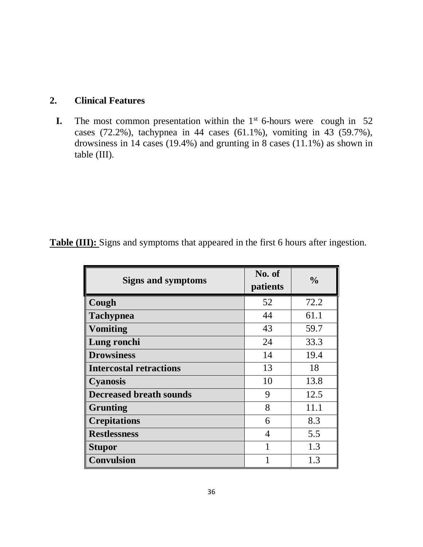## **2. Clinical Features**

**I.** The most common presentation within the  $1<sup>st</sup>$  6-hours were cough in 52 cases (72.2%), tachypnea in 44 cases (61.1%), vomiting in 43 (59.7%), drowsiness in 14 cases (19.4%) and grunting in 8 cases (11.1%) as shown in table (III).

| <b>Signs and symptoms</b>      | No. of<br>patients | $\frac{0}{0}$ |
|--------------------------------|--------------------|---------------|
| Cough                          | 52                 | 72.2          |
| <b>Tachypnea</b>               | 44                 | 61.1          |
| <b>Vomiting</b>                | 43                 | 59.7          |
| Lung ronchi                    | 24                 | 33.3          |
| <b>Drowsiness</b>              | 14                 | 19.4          |
| <b>Intercostal retractions</b> | 13                 | 18            |
| <b>Cyanosis</b>                | 10                 | 13.8          |
| <b>Decreased breath sounds</b> | 9                  | 12.5          |
| <b>Grunting</b>                | 8                  | 11.1          |
| <b>Crepitations</b>            | 6                  | 8.3           |
| <b>Restlessness</b>            | 4                  | 5.5           |
| <b>Stupor</b>                  | 1                  | 1.3           |
| <b>Convulsion</b>              |                    | 1.3           |

**Table (III):** Signs and symptoms that appeared in the first 6 hours after ingestion.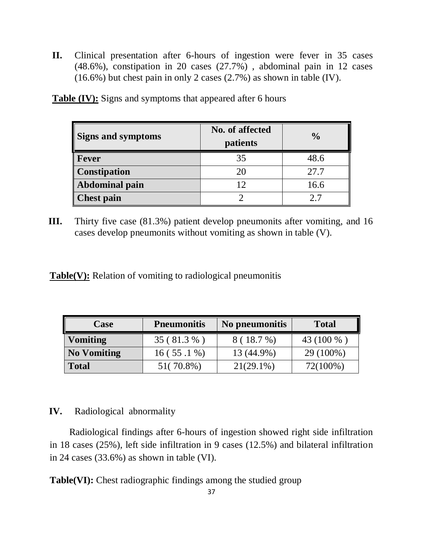**II.** Clinical presentation after 6-hours of ingestion were fever in 35 cases (48.6%), constipation in 20 cases (27.7%) , abdominal pain in 12 cases (16.6%) but chest pain in only 2 cases (2.7%) as shown in table (IV).

| <b>Signs and symptoms</b> | No. of affected<br>patients | $\frac{0}{0}$ |
|---------------------------|-----------------------------|---------------|
| <b>⊩Fever</b>             | 35                          | 48.6          |
| Constipation              | 20                          | 27.7          |
| <b>Abdominal pain</b>     |                             | 16.6          |
| <b>Chest pain</b>         |                             |               |

**Table (IV):** Signs and symptoms that appeared after 6 hours

**III.** Thirty five case (81.3%) patient develop pneumonits after vomiting, and 16 cases develop pneumonits without vomiting as shown in table (V).

**Table(V):** Relation of vomiting to radiological pneumonitis

| Case               | <b>Pneumonitis</b> | No pneumonitis | <b>Total</b> |
|--------------------|--------------------|----------------|--------------|
| <b>Vomiting</b>    | 35 (81.3 %)        | 8 (18.7 %)     | 43 (100 %)   |
| <b>No Vomiting</b> | $16(55.1\%)$       | 13 (44.9%)     | 29 (100%)    |
| <b>Total</b>       | 51(70.8%)          | $21(29.1\%)$   | 72(100%)     |

### **IV.** Radiological abnormality

 Radiological findings after 6-hours of ingestion showed right side infiltration in 18 cases (25%), left side infiltration in 9 cases (12.5%) and bilateral infiltration in 24 cases (33.6%) as shown in table (VI).

**Table(VI):** Chest radiographic findings among the studied group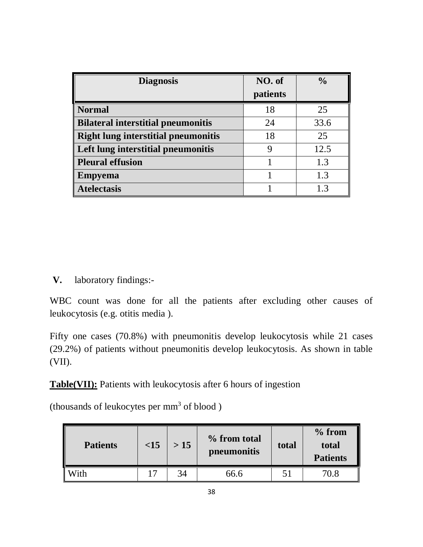| <b>Diagnosis</b>                          | NO. of   | $\frac{6}{9}$ |
|-------------------------------------------|----------|---------------|
|                                           | patients |               |
| <b>Normal</b>                             | 18       | 25            |
| <b>Bilateral interstitial pneumonitis</b> | 24       | 33.6          |
| Right lung interstitial pneumonitis       | 18       | 25            |
| Left lung interstitial pneumonitis        |          | 12.5          |
| Pleural effusion                          |          | 1.3           |
| <b>Empyema</b>                            |          | 1.3           |
| telectasis                                |          | 13            |

**V.** laboratory findings:-

WBC count was done for all the patients after excluding other causes of leukocytosis (e.g. otitis media ).

Fifty one cases (70.8%) with pneumonitis develop leukocytosis while 21 cases (29.2%) of patients without pneumonitis develop leukocytosis. As shown in table (VII).

**Table(VII):** Patients with leukocytosis after 6 hours of ingestion

(thousands of leukocytes per mm<sup>3</sup> of blood )

| <b>Patients</b> | <15 | >15 | % from total<br>pneumonitis | total       | $%$ from<br>total<br><b>Patients</b> |
|-----------------|-----|-----|-----------------------------|-------------|--------------------------------------|
| With            |     | 34  | 66.6                        | $5^{\circ}$ | 70.8                                 |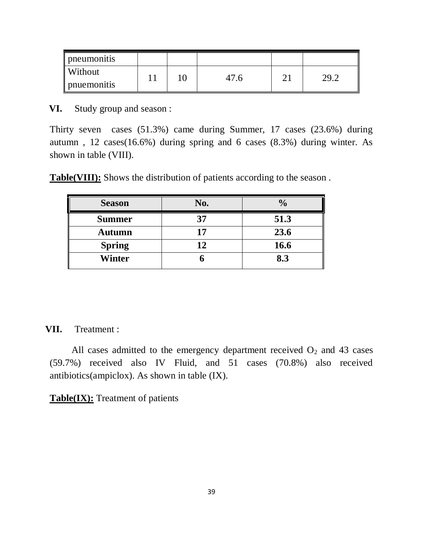| $\blacksquare$ pneumonitis |  |   |              |
|----------------------------|--|---|--------------|
| <b>Without</b>             |  | ⌒ | $20^{\circ}$ |
| $\blacksquare$ pnuemonitis |  |   |              |

**VI.** Study group and season :

Thirty seven cases (51.3%) came during Summer, 17 cases (23.6%) during autumn , 12 cases(16.6%) during spring and 6 cases (8.3%) during winter. As shown in table (VIII).

**Table(VIII):** Shows the distribution of patients according to the season .

| <b>Season</b> | No. | $\frac{0}{0}$ |
|---------------|-----|---------------|
| <b>Summer</b> | 37  | 51.3          |
| Autumn        |     | 23.6          |
| <b>Spring</b> | 12  | 16.6          |
| <b>Winter</b> |     | 8.3           |

#### **VII.** Treatment :

All cases admitted to the emergency department received  $O_2$  and 43 cases (59.7%) received also IV Fluid, and 51 cases (70.8%) also received antibiotics(ampiclox). As shown in table (IX).

**Table(IX):** Treatment of patients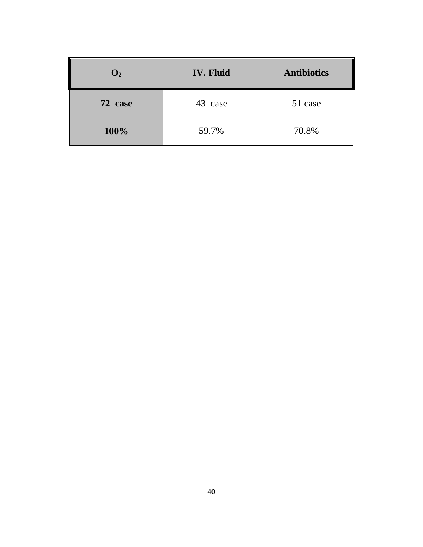| $\mathbf{O}_2$ | <b>IV. Fluid</b> | <b>Antibiotics</b> |
|----------------|------------------|--------------------|
| 72 case        | 43 case          | 51 case            |
| 100%           | 59.7%            | 70.8%              |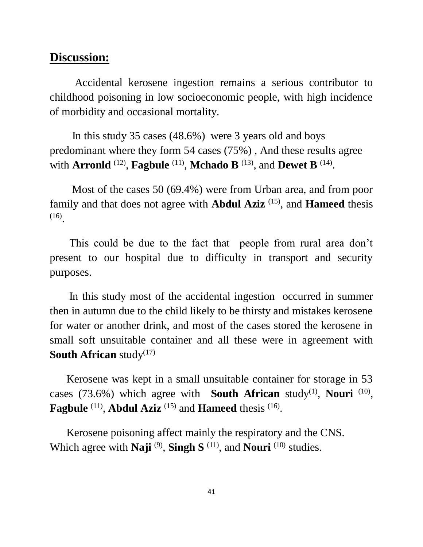# **Discussion:**

 Accidental kerosene ingestion remains a serious contributor to childhood poisoning in low socioeconomic people, with high incidence of morbidity and occasional mortality.

 In this study 35 cases (48.6%) were 3 years old and boys predominant where they form 54 cases (75%) , And these results agree with **Arronld** <sup>(12)</sup>, **Fagbule** <sup>(11)</sup>, **Mchado B** <sup>(13)</sup>, and **Dewet B** <sup>(14)</sup>.

 Most of the cases 50 (69.4%) were from Urban area, and from poor family and that does not agree with **Abdul Aziz** (15) , and **Hameed** thesis (16) .

 This could be due to the fact that people from rural area don't present to our hospital due to difficulty in transport and security purposes.

 In this study most of the accidental ingestion occurred in summer then in autumn due to the child likely to be thirsty and mistakes kerosene for water or another drink, and most of the cases stored the kerosene in small soft unsuitable container and all these were in agreement with **South African** study<sup>(17)</sup>

 Kerosene was kept in a small unsuitable container for storage in 53 cases  $(73.6%)$  which agree with **South African** study<sup>(1)</sup>, **Nouri**  $(10)$ , **Fagbule** <sup>(11)</sup>, **Abdul Aziz** <sup>(15)</sup> and **Hameed** thesis <sup>(16)</sup>.

 Kerosene poisoning affect mainly the respiratory and the CNS. Which agree with **Naji**  $^{(9)}$ , **Singh S**  $^{(11)}$ , and **Nouri**  $^{(10)}$  studies.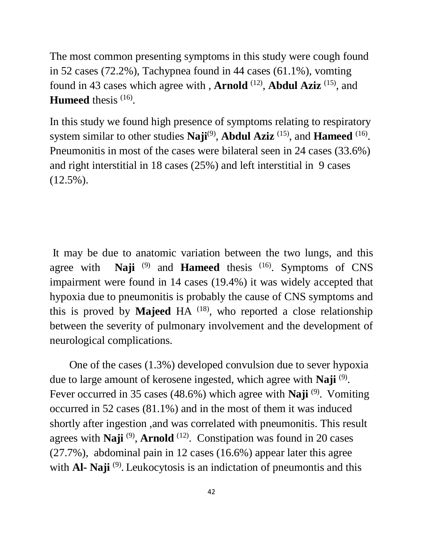The most common presenting symptoms in this study were cough found in 52 cases (72.2%), Tachypnea found in 44 cases (61.1%), vomting found in 43 cases which agree with, **Arnold** <sup>(12)</sup>, **Abdul Aziz** <sup>(15)</sup>, and **Humeed** thesis <sup>(16)</sup>.

In this study we found high presence of symptoms relating to respiratory system similar to other studies **Naji**<sup>(9)</sup>, **Abdul Aziz** <sup>(15)</sup>, and **Hameed** <sup>(16)</sup>. Pneumonitis in most of the cases were bilateral seen in 24 cases (33.6%) and right interstitial in 18 cases (25%) and left interstitial in 9 cases (12.5%).

It may be due to anatomic variation between the two lungs, and this agree with and **Hameed** thesis <sup>(16)</sup>. Symptoms of CNS impairment were found in 14 cases (19.4%) it was widely accepted that hypoxia due to pneumonitis is probably the cause of CNS symptoms and this is proved by **Majeed** HA (18) , who reported a close relationship between the severity of pulmonary involvement and the development of neurological complications.

 One of the cases (1.3%) developed convulsion due to sever hypoxia due to large amount of kerosene ingested, which agree with Naji<sup>(9)</sup>. Fever occurred in 35 cases (48.6%) which agree with **Naji** <sup>(9)</sup>. Vomiting occurred in 52 cases (81.1%) and in the most of them it was induced shortly after ingestion ,and was correlated with pneumonitis. This result agrees with **Naji**  $^{(9)}$ , **Arnold**  $^{(12)}$ . Constipation was found in 20 cases (27.7%), abdominal pain in 12 cases (16.6%) appear later this agree with **Al- Naji** <sup>(9)</sup>. Leukocytosis is an indictation of pneumontis and this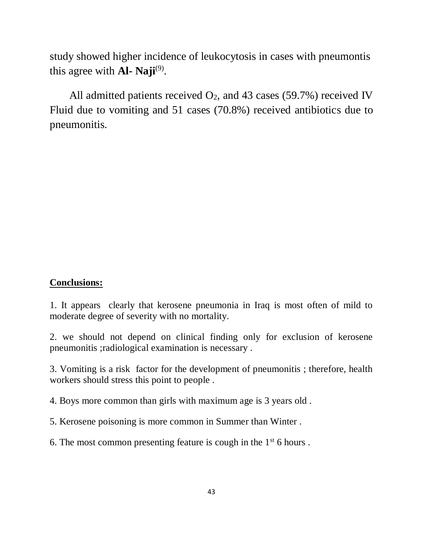study showed higher incidence of leukocytosis in cases with pneumontis this agree with **Al- Naji**(9) .

All admitted patients received  $O_2$ , and 43 cases (59.7%) received IV Fluid due to vomiting and 51 cases (70.8%) received antibiotics due to pneumonitis.

### **Conclusions:**

1. It appears clearly that kerosene pneumonia in Iraq is most often of mild to moderate degree of severity with no mortality.

2. we should not depend on clinical finding only for exclusion of kerosene pneumonitis ;radiological examination is necessary .

3. Vomiting is a risk factor for the development of pneumonitis ; therefore, health workers should stress this point to people .

4. Boys more common than girls with maximum age is 3 years old .

5. Kerosene poisoning is more common in Summer than Winter .

6. The most common presenting feature is cough in the  $1<sup>st</sup>$  6 hours .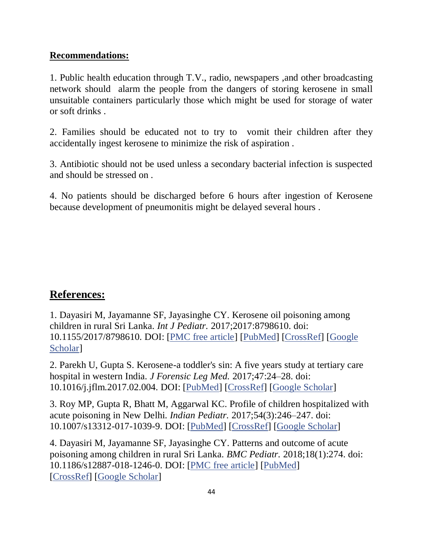### **Recommendations:**

1. Public health education through T.V., radio, newspapers ,and other broadcasting network should alarm the people from the dangers of storing kerosene in small unsuitable containers particularly those which might be used for storage of water or soft drinks .

2. Families should be educated not to try to vomit their children after they accidentally ingest kerosene to minimize the risk of aspiration .

3. Antibiotic should not be used unless a secondary bacterial infection is suspected and should be stressed on .

4. No patients should be discharged before 6 hours after ingestion of Kerosene because development of pneumonitis might be delayed several hours .

# **References:**

1. Dayasiri M, Jayamanne SF, Jayasinghe CY. Kerosene oil poisoning among children in rural Sri Lanka. *Int J Pediatr.* 2017;2017:8798610. doi: 10.1155/2017/8798610. DOI: [\[PMC free article\]](https://www.ncbi.nlm.nih.gov/pmc/articles/PMC5733930/) [\[PubMed\]](https://www.ncbi.nlm.nih.gov/pubmed/29348762) [\[CrossRef\]](https://dx.doi.org/10.1155%2F2017%2F8798610) [\[Google](https://scholar.google.com/scholar_lookup?journal=Int+J+Pediatr&title=Kerosene+oil+poisoning+among+children+in+rural+Sri+Lanka.&author=M+Dayasiri&author=SF+Jayamanne&author=CY.+Jayasinghe&volume=2017&publication_year=2017&pages=8798610.&pmid=29348762&doi=10.1155/2017/8798610&)  [Scholar\]](https://scholar.google.com/scholar_lookup?journal=Int+J+Pediatr&title=Kerosene+oil+poisoning+among+children+in+rural+Sri+Lanka.&author=M+Dayasiri&author=SF+Jayamanne&author=CY.+Jayasinghe&volume=2017&publication_year=2017&pages=8798610.&pmid=29348762&doi=10.1155/2017/8798610&)

2. Parekh U, Gupta S. Kerosene-a toddler's sin: A five years study at tertiary care hospital in western India. *J Forensic Leg Med.* 2017;47:24–28. doi: 10.1016/j.jflm.2017.02.004. DOI: [\[PubMed\]](https://www.ncbi.nlm.nih.gov/pubmed/28235678) [\[CrossRef\]](https://dx.doi.org/10.1016%2Fj.jflm.2017.02.004) [\[Google Scholar\]](https://scholar.google.com/scholar_lookup?journal=J+Forensic+Leg+Med&title=Kerosene-a+toddler%27s+sin:+A+five+years+study+at+tertiary+care+hospital+in+western+India.&author=U+Parekh&author=S.+Gupta&volume=47&publication_year=2017&pages=24-28&pmid=28235678&doi=10.1016/j.jflm.2017.02.004&)

3. Roy MP, Gupta R, Bhatt M, Aggarwal KC. Profile of children hospitalized with acute poisoning in New Delhi. *Indian Pediatr.* 2017;54(3):246–247. doi: 10.1007/s13312-017-1039-9. DOI: [\[PubMed\]](https://www.ncbi.nlm.nih.gov/pubmed/28159952) [\[CrossRef\]](https://dx.doi.org/10.1007%2Fs13312-017-1039-9) [\[Google Scholar\]](https://scholar.google.com/scholar_lookup?journal=Indian+Pediatr&title=Profile+of+children+hospitalized+with+acute+poisoning+in+New+Delhi.&author=MP+Roy&author=R+Gupta&author=M+Bhatt&author=KC.+Aggarwal&volume=54&issue=3&publication_year=2017&pages=246-247&pmid=28159952&doi=10.1007/s13312-017-1039-9&)

4. Dayasiri M, Jayamanne SF, Jayasinghe CY. Patterns and outcome of acute poisoning among children in rural Sri Lanka. *BMC Pediatr.* 2018;18(1):274. doi: 10.1186/s12887-018-1246-0. DOI: [\[PMC free article\]](https://www.ncbi.nlm.nih.gov/pmc/articles/PMC6098835/) [\[PubMed\]](https://www.ncbi.nlm.nih.gov/pubmed/30121087) [\[CrossRef\]](https://dx.doi.org/10.1186%2Fs12887-018-1246-0) [\[Google Scholar\]](https://scholar.google.com/scholar_lookup?journal=BMC+Pediatr.&title=Patterns+and+outcome+of+acute+poisoning+among+children+in+rural+Sri+Lanka.&author=M+Dayasiri&author=SF+Jayamanne&author=CY.+Jayasinghe&volume=18&issue=1&publication_year=2018&pages=274&pmid=30121087&doi=10.1186/s12887-018-1246-0&)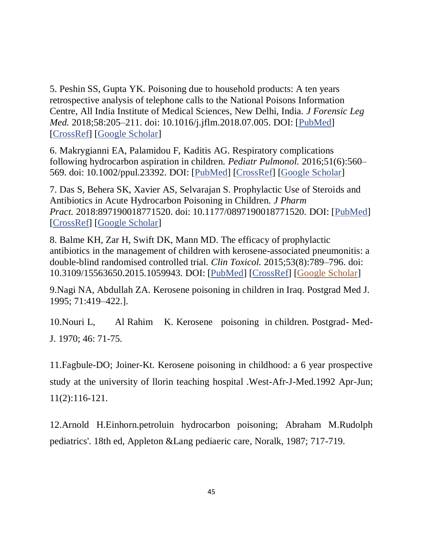5. Peshin SS, Gupta YK. Poisoning due to household products: A ten years retrospective analysis of telephone calls to the National Poisons Information Centre, All India Institute of Medical Sciences, New Delhi, India. *J Forensic Leg Med.* 2018;58:205–211. doi: 10.1016/j.jflm.2018.07.005. DOI: [\[PubMed\]](https://www.ncbi.nlm.nih.gov/pubmed/30015223) [\[CrossRef\]](https://dx.doi.org/10.1016%2Fj.jflm.2018.07.005) [\[Google Scholar\]](https://scholar.google.com/scholar_lookup?journal=J+Forensic+Leg+Med&title=Poisoning+due+to+household+products:+A+ten+years+retrospective+analysis+of+telephone+calls+to+the+National+Poisons+Information+Centre,+All+India+Institute+of+Medical+Sciences,+New+Delhi,+India.&author=SS+Peshin&author=YK.+Gupta&volume=58&publication_year=2018&pages=205-211&pmid=30015223&doi=10.1016/j.jflm.2018.07.005&)

6. Makrygianni EA, Palamidou F, Kaditis AG. Respiratory complications following hydrocarbon aspiration in children. *Pediatr Pulmonol.* 2016;51(6):560– 569. doi: 10.1002/ppul.23392. DOI: [\[PubMed\]](https://www.ncbi.nlm.nih.gov/pubmed/26910771) [\[CrossRef\]](https://dx.doi.org/10.1002%2Fppul.23392) [\[Google Scholar\]](https://scholar.google.com/scholar_lookup?journal=Pediatr+Pulmonol&title=Respiratory+complications+following+hydrocarbon+aspiration+in+children.&author=EA+Makrygianni&author=F+Palamidou&author=AG.+Kaditis&volume=51&issue=6&publication_year=2016&pages=560-569&pmid=26910771&doi=10.1002/ppul.23392&)

7. Das S, Behera SK, Xavier AS, Selvarajan S. Prophylactic Use of Steroids and Antibiotics in Acute Hydrocarbon Poisoning in Children. *J Pharm Pract.* 2018:897190018771520. doi: 10.1177/0897190018771520. DOI: [\[PubMed\]](https://www.ncbi.nlm.nih.gov/pubmed/29673294) [\[CrossRef\]](https://dx.doi.org/10.1177%2F0897190018771520) [\[Google Scholar\]](https://scholar.google.com/scholar_lookup?journal=J+Pharm+Pract&title=Prophylactic+Use+of+Steroids+and+Antibiotics+in+Acute+Hydrocarbon+Poisoning+in+Children.&author=S+Das&author=SK+Behera&author=AS+Xavier&author=S.+Selvarajan&publication_year=2018&pages=897190018771520.&doi=10.1177/0897190018771520&)

8. Balme KH, Zar H, Swift DK, Mann MD. The efficacy of prophylactic antibiotics in the management of children with kerosene-associated pneumonitis: a double-blind randomised controlled trial. *Clin Toxicol.* 2015;53(8):789–796. doi: 10.3109/15563650.2015.1059943. DOI: [\[PubMed\]](https://www.ncbi.nlm.nih.gov/pubmed/26114347) [\[CrossRef\]](https://dx.doi.org/10.3109%2F15563650.2015.1059943) [\[Google Scholar\]](https://scholar.google.com/scholar_lookup?journal=Clin+Toxicol&title=The+efficacy+of+prophylactic+antibiotics+in+the+management+of+children+with+kerosene-associated+pneumonitis:+a+double-blind+randomised+controlled+trial.&author=KH+Balme&author=H+Zar&author=DK+Swift&author=MD.+Mann&volume=53&issue=8&publication_year=2015&pages=789-796&doi=10.3109/15563650.2015.1059943&)

9.Nagi NA, Abdullah ZA. Kerosene poisoning in children in Iraq. Postgrad Med J. 1995; 71:419–422.].

10.Nouri L, Al Rahim K. Kerosene poisoning in children. Postgrad- Med-J. 1970; 46: 71-75.

11.Fagbule-DO; Joiner-Kt. Kerosene poisoning in childhood: a 6 year prospective study at the university of llorin teaching hospital .West-Afr-J-Med.1992 Apr-Jun; 11(2):116-121.

12.Arnold H.Einhorn.petroluin hydrocarbon poisoning; Abraham M.Rudolph pediatrics'. 18th ed, Appleton &Lang pediaeric care, Noralk, 1987; 717-719.